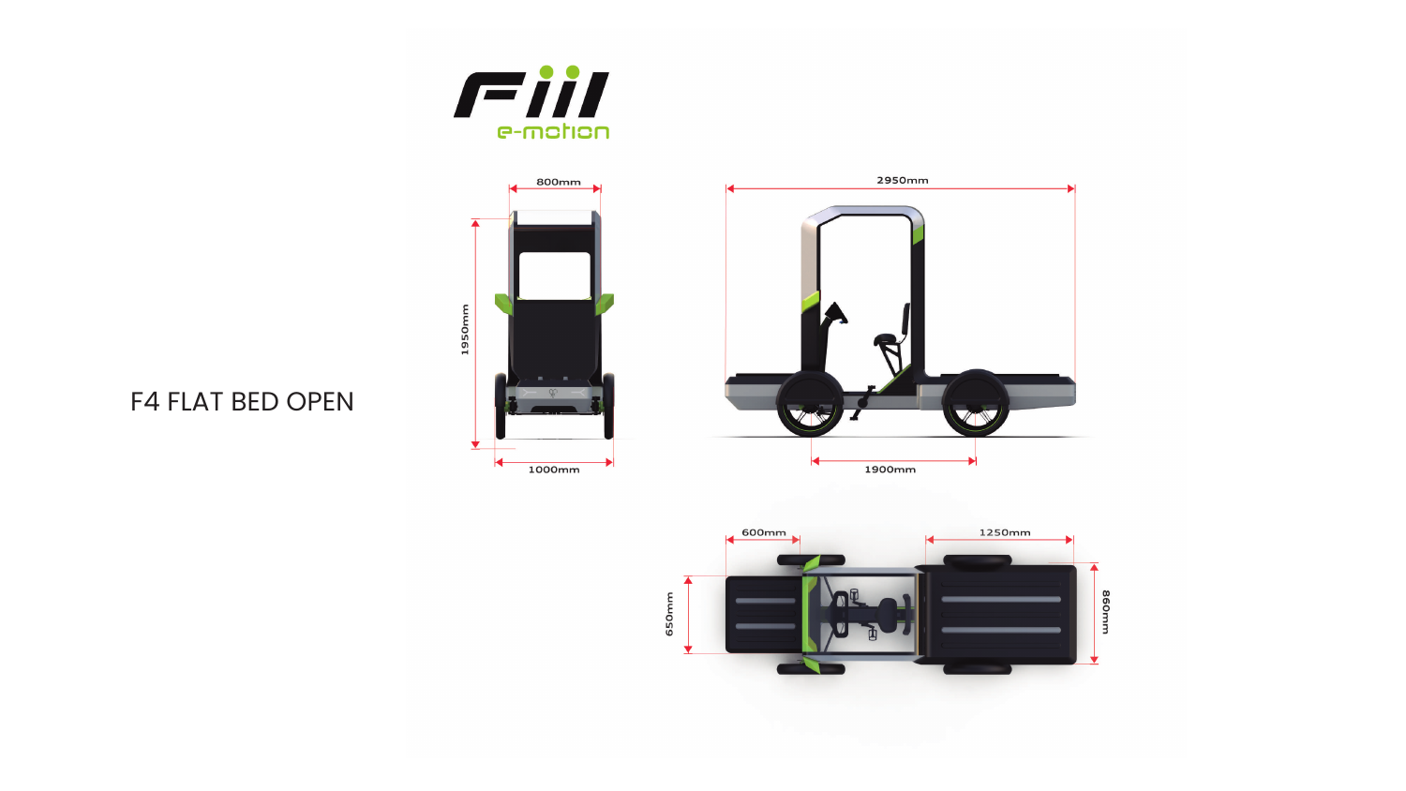



## F4 FLAT BED OPEN



1250mm 600mm 860mm 

650mm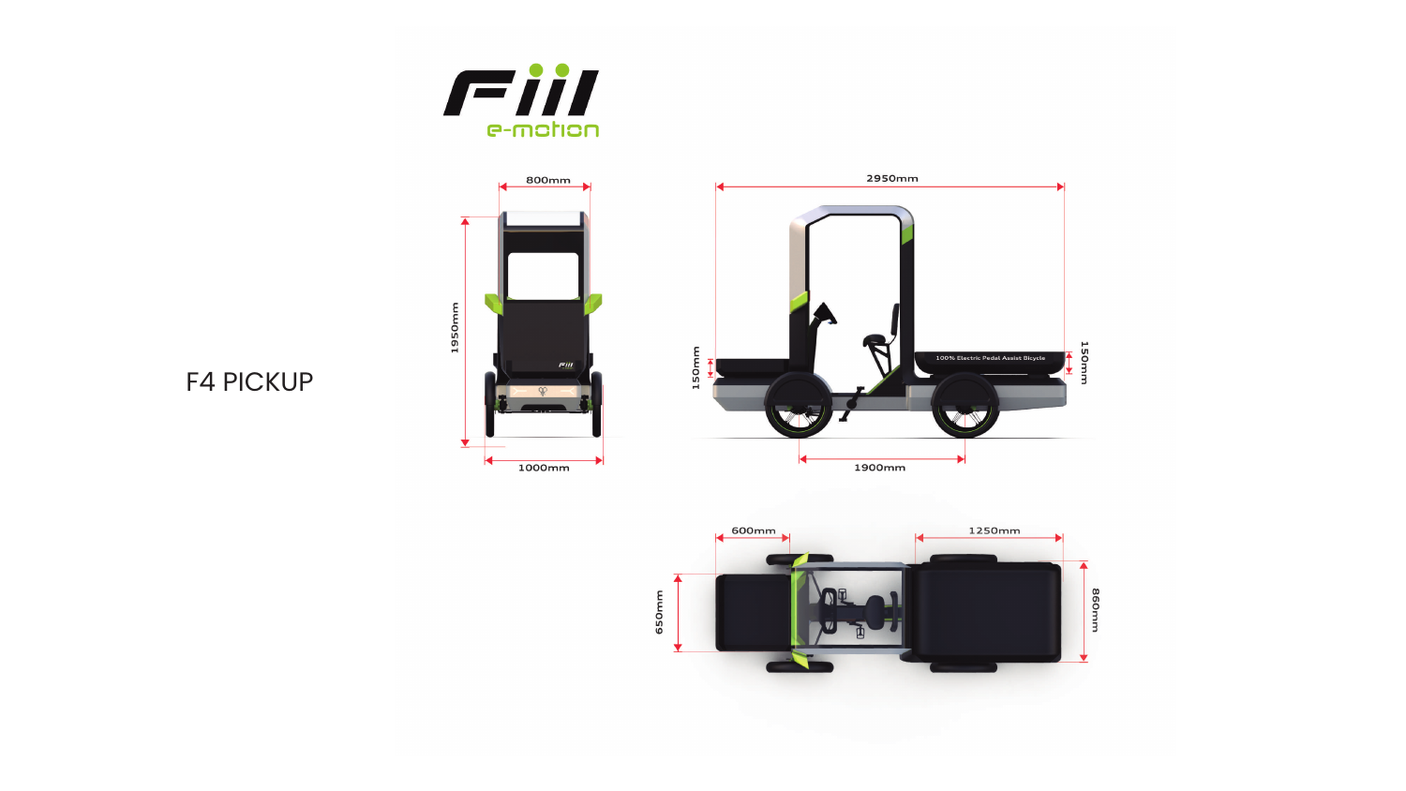



## F4 PICKUP



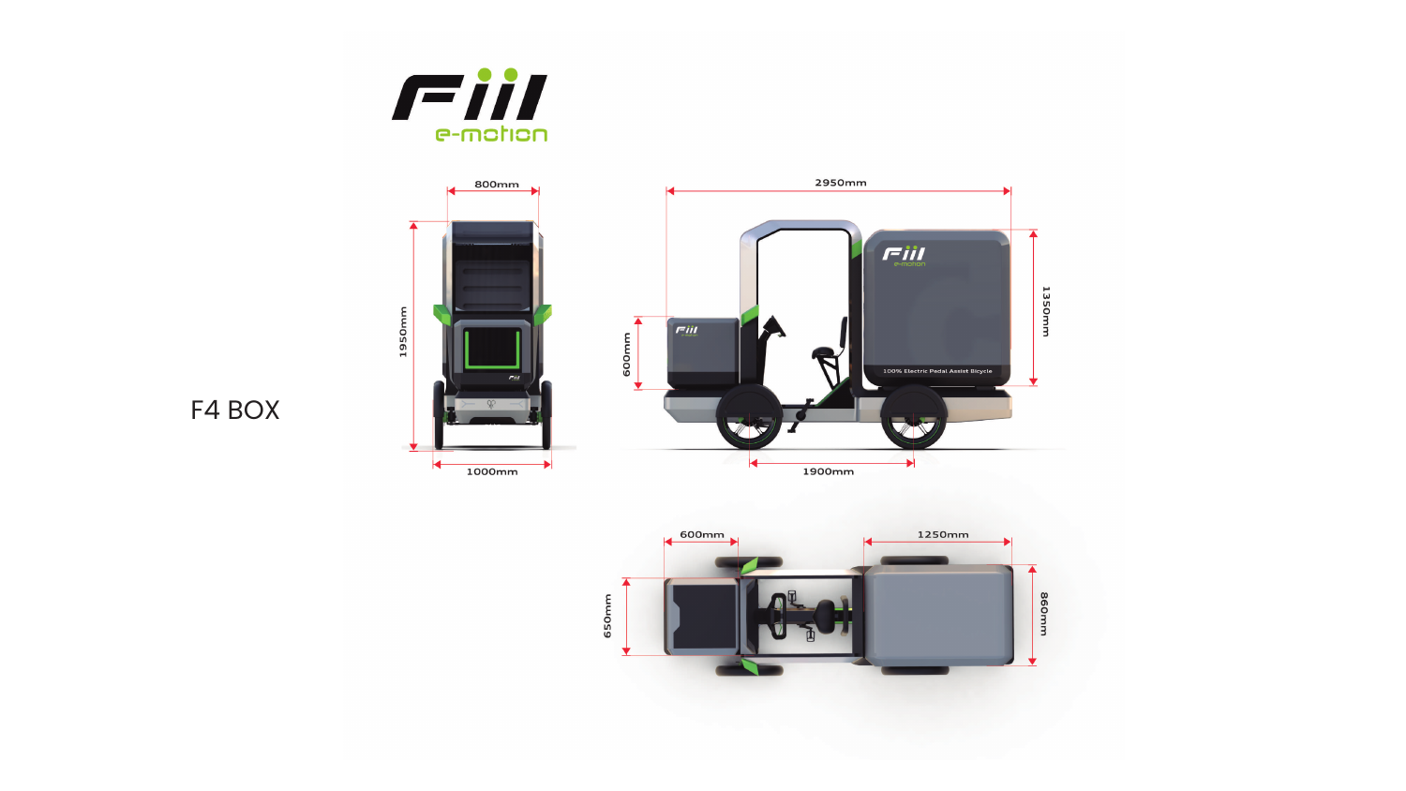



## F4 BOX